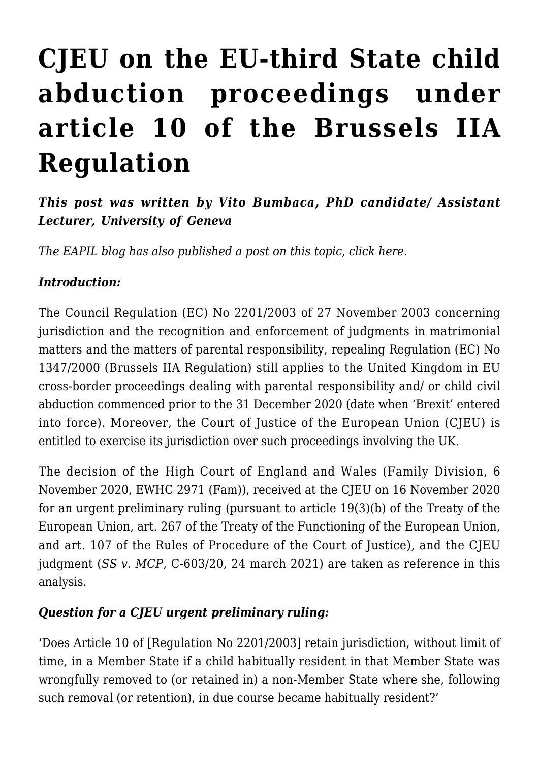# **[CJEU on the EU-third State child](https://conflictoflaws.net/2021/cjeu-on-the-eu-third-state-child-abduction-proceedings-under-article-10-of-the-brussels-iia-regulation/) [abduction proceedings under](https://conflictoflaws.net/2021/cjeu-on-the-eu-third-state-child-abduction-proceedings-under-article-10-of-the-brussels-iia-regulation/) [article 10 of the Brussels IIA](https://conflictoflaws.net/2021/cjeu-on-the-eu-third-state-child-abduction-proceedings-under-article-10-of-the-brussels-iia-regulation/) [Regulation](https://conflictoflaws.net/2021/cjeu-on-the-eu-third-state-child-abduction-proceedings-under-article-10-of-the-brussels-iia-regulation/)**

## *This post was written by Vito Bumbaca, PhD candidate/ Assistant Lecturer, University of Geneva*

*The EAPIL blog has also published a post on this topic, click [here](https://eapil.org/2021/04/01/cjeu-on-abduction-to-a-third-state-and-the-brussels-ii-bis-regulation/).*

#### *Introduction:*

The [Council Regulation \(EC\) No 2201/2003 of 27 November 2003](https://eur-lex.europa.eu/legal-content/EN/TXT/?uri=CELEX%3A32003R2201) concerning jurisdiction and the recognition and enforcement of judgments in matrimonial matters and the matters of parental responsibility, repealing Regulation (EC) No 1347/2000 (Brussels IIA Regulation) still applies to the United Kingdom in EU cross-border proceedings dealing with parental responsibility and/ or child civil abduction commenced prior to the 31 December 2020 (date when 'Brexit' entered into force). Moreover, the Court of Justice of the European Union (CJEU) is entitled to exercise its jurisdiction over such proceedings involving the UK.

The [decision](https://www.bailii.org/ew/cases/EWHC/Fam/2020/2971.html) of the High Court of England and Wales (Family Division, 6 November 2020, EWHC 2971 (Fam)), received at the CJEU on 16 November 2020 for an urgent preliminary ruling (pursuant to article 19(3)(b) of the Treaty of the European Union, art. 267 of the Treaty of the Functioning of the European Union, and art. 107 of the Rules of Procedure of the Court of Justice), and the CJEU [judgment](https://curia.europa.eu/juris/document/document.jsf;jsessionid=8636BE40A48BBB1E68A7AED6CAC556B2?text=&docid=239243&pageIndex=0&doclang=EN&mode=lst&dir=&occ=first&part=1&cid=3124354) (*SS v. MCP*, C-603/20, 24 march 2021) are taken as reference in this analysis.

#### *Question for a CJEU urgent preliminary ruling:*

'Does Article 10 of [Regulation No 2201/2003] retain jurisdiction, without limit of time, in a Member State if a child habitually resident in that Member State was wrongfully removed to (or retained in) a non-Member State where she, following such removal (or retention), in due course became habitually resident?'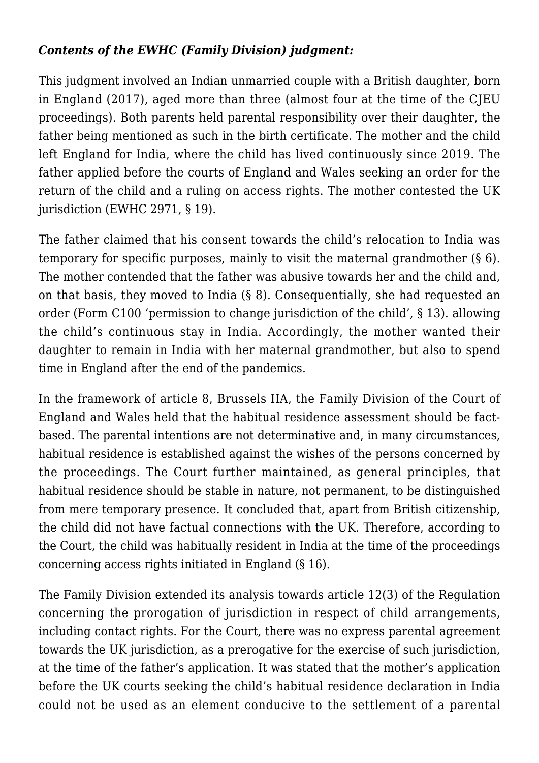### *Contents of the EWHC (Family Division) judgment:*

This judgment involved an Indian unmarried couple with a British daughter, born in England (2017), aged more than three (almost four at the time of the CJEU proceedings). Both parents held parental responsibility over their daughter, the father being mentioned as such in the birth certificate. The mother and the child left England for India, where the child has lived continuously since 2019. The father applied before the courts of England and Wales seeking an order for the return of the child and a ruling on access rights. The mother contested the UK jurisdiction (EWHC 2971, § 19).

The father claimed that his consent towards the child's relocation to India was temporary for specific purposes, mainly to visit the maternal grandmother (§ 6). The mother contended that the father was abusive towards her and the child and, on that basis, they moved to India (§ 8). Consequentially, she had requested an order (Form C100 'permission to change jurisdiction of the child', § 13). allowing the child's continuous stay in India. Accordingly, the mother wanted their daughter to remain in India with her maternal grandmother, but also to spend time in England after the end of the pandemics.

In the framework of article 8, Brussels IIA, the Family Division of the Court of England and Wales held that the habitual residence assessment should be factbased. The parental intentions are not determinative and, in many circumstances, habitual residence is established against the wishes of the persons concerned by the proceedings. The Court further maintained, as general principles, that habitual residence should be stable in nature, not permanent, to be distinguished from mere temporary presence. It concluded that, apart from British citizenship, the child did not have factual connections with the UK. Therefore, according to the Court, the child was habitually resident in India at the time of the proceedings concerning access rights initiated in England (§ 16).

The Family Division extended its analysis towards article 12(3) of the Regulation concerning the prorogation of jurisdiction in respect of child arrangements, including contact rights. For the Court, there was no express parental agreement towards the UK jurisdiction, as a prerogative for the exercise of such jurisdiction, at the time of the father's application. It was stated that the mother's application before the UK courts seeking the child's habitual residence declaration in India could not be used as an element conducive to the settlement of a parental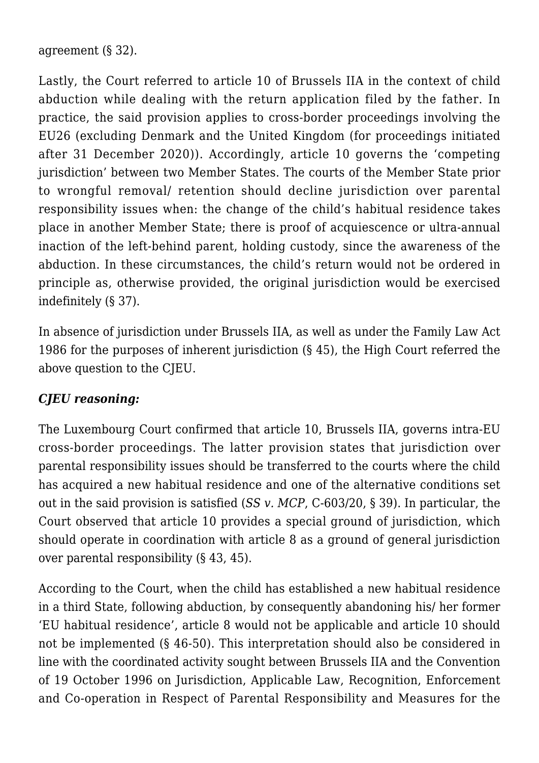agreement (§ 32).

Lastly, the Court referred to article 10 of Brussels IIA in the context of child abduction while dealing with the return application filed by the father. In practice, the said provision applies to cross-border proceedings involving the EU26 (excluding Denmark and the United Kingdom (for proceedings initiated after 31 December 2020)). Accordingly, article 10 governs the 'competing jurisdiction' between two Member States. The courts of the Member State prior to wrongful removal/ retention should decline jurisdiction over parental responsibility issues when: the change of the child's habitual residence takes place in another Member State; there is proof of acquiescence or ultra-annual inaction of the left-behind parent, holding custody, since the awareness of the abduction. In these circumstances, the child's return would not be ordered in principle as, otherwise provided, the original jurisdiction would be exercised indefinitely (§ 37).

In absence of jurisdiction under Brussels IIA, as well as under the Family Law Act 1986 for the purposes of inherent jurisdiction (§ 45), the High Court referred the above question to the CJEU.

#### *CJEU reasoning:*

The Luxembourg Court confirmed that article 10, Brussels IIA, governs intra-EU cross-border proceedings. The latter provision states that jurisdiction over parental responsibility issues should be transferred to the courts where the child has acquired a new habitual residence and one of the alternative conditions set out in the said provision is satisfied (*SS v. MCP*, C-603/20, § 39). In particular, the Court observed that article 10 provides a special ground of jurisdiction, which should operate in coordination with article 8 as a ground of general jurisdiction over parental responsibility (§ 43, 45).

According to the Court, when the child has established a new habitual residence in a third State, following abduction, by consequently abandoning his/ her former 'EU habitual residence', article 8 would not be applicable and article 10 should not be implemented (§ 46-50). This interpretation should also be considered in line with the coordinated activity sought between Brussels IIA and the Convention of 19 October 1996 on Jurisdiction, Applicable Law, Recognition, Enforcement and Co-operation in Respect of Parental Responsibility and Measures for the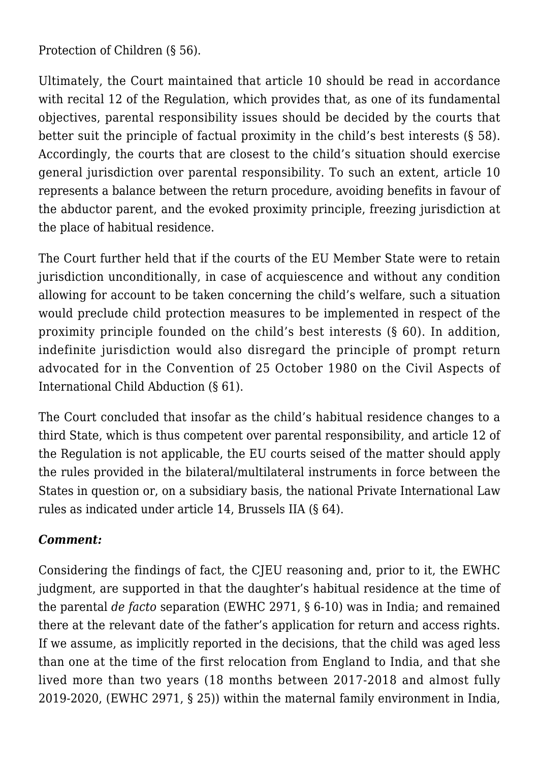Protection of Children (§ 56).

Ultimately, the Court maintained that article 10 should be read in accordance with recital 12 of the Regulation, which provides that, as one of its fundamental objectives, parental responsibility issues should be decided by the courts that better suit the principle of factual proximity in the child's best interests (§ 58). Accordingly, the courts that are closest to the child's situation should exercise general jurisdiction over parental responsibility. To such an extent, article 10 represents a balance between the return procedure, avoiding benefits in favour of the abductor parent, and the evoked proximity principle, freezing jurisdiction at the place of habitual residence.

The Court further held that if the courts of the EU Member State were to retain jurisdiction unconditionally, in case of acquiescence and without any condition allowing for account to be taken concerning the child's welfare, such a situation would preclude child protection measures to be implemented in respect of the proximity principle founded on the child's best interests (§ 60). In addition, indefinite jurisdiction would also disregard the principle of prompt return advocated for in the Convention of 25 October 1980 on the Civil Aspects of International Child Abduction (§ 61).

The Court concluded that insofar as the child's habitual residence changes to a third State, which is thus competent over parental responsibility, and article 12 of the Regulation is not applicable, the EU courts seised of the matter should apply the rules provided in the bilateral/multilateral instruments in force between the States in question or, on a subsidiary basis, the national Private International Law rules as indicated under article 14, Brussels IIA (§ 64).

#### *Comment:*

Considering the findings of fact, the CJEU reasoning and, prior to it, the EWHC judgment, are supported in that the daughter's habitual residence at the time of the parental *de facto* separation (EWHC 2971, § 6-10) was in India; and remained there at the relevant date of the father's application for return and access rights. If we assume, as implicitly reported in the decisions, that the child was aged less than one at the time of the first relocation from England to India, and that she lived more than two years (18 months between 2017-2018 and almost fully 2019-2020, (EWHC 2971, § 25)) within the maternal family environment in India,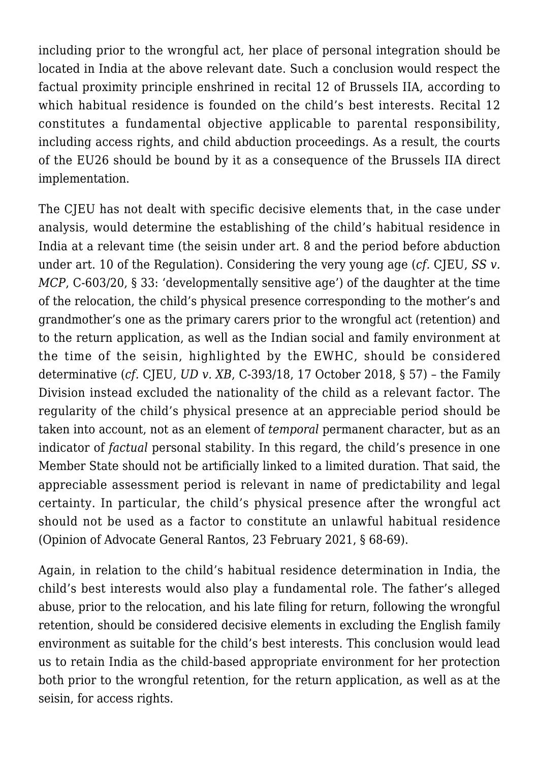including prior to the wrongful act, her place of personal integration should be located in India at the above relevant date. Such a conclusion would respect the factual proximity principle enshrined in recital 12 of Brussels IIA, according to which habitual residence is founded on the child's best interests. Recital 12 constitutes a fundamental objective applicable to parental responsibility, including access rights, and child abduction proceedings. As a result, the courts of the EU26 should be bound by it as a consequence of the Brussels IIA direct implementation.

The CJEU has not dealt with specific decisive elements that, in the case under analysis, would determine the establishing of the child's habitual residence in India at a relevant time (the seisin under art. 8 and the period before abduction under art. 10 of the Regulation). Considering the very young age (*cf.* CJEU, *SS v. MCP*, C-603/20, § 33: 'developmentally sensitive age') of the daughter at the time of the relocation, the child's physical presence corresponding to the mother's and grandmother's one as the primary carers prior to the wrongful act (retention) and to the return application, as well as the Indian social and family environment at the time of the seisin, highlighted by the EWHC, should be considered determinative (*cf.* CJEU, *[UD v. XB](https://curia.europa.eu/juris/document/document.jsf?text=&docid=206859&pageIndex=0&doclang=EN&mode=lst&dir=&occ=first&part=1&cid=3134673)*, C-393/18, 17 October 2018, § 57) – the Family Division instead excluded the nationality of the child as a relevant factor. The regularity of the child's physical presence at an appreciable period should be taken into account, not as an element of *temporal* permanent character, but as an indicator of *factual* personal stability. In this regard, the child's presence in one Member State should not be artificially linked to a limited duration. That said, the appreciable assessment period is relevant in name of predictability and legal certainty. In particular, the child's physical presence after the wrongful act should not be used as a factor to constitute an unlawful habitual residence [\(Opinion of Advocate General Rantos](https://curia.europa.eu/juris/document/document.jsf;jsessionid=8636BE40A48BBB1E68A7AED6CAC556B2?text=&docid=238087&pageIndex=0&doclang=EN&mode=lst&dir=&occ=first&part=1&cid=3124354), 23 February 2021, § 68-69).

Again, in relation to the child's habitual residence determination in India, the child's best interests would also play a fundamental role. The father's alleged abuse, prior to the relocation, and his late filing for return, following the wrongful retention, should be considered decisive elements in excluding the English family environment as suitable for the child's best interests. This conclusion would lead us to retain India as the child-based appropriate environment for her protection both prior to the wrongful retention, for the return application, as well as at the seisin, for access rights.